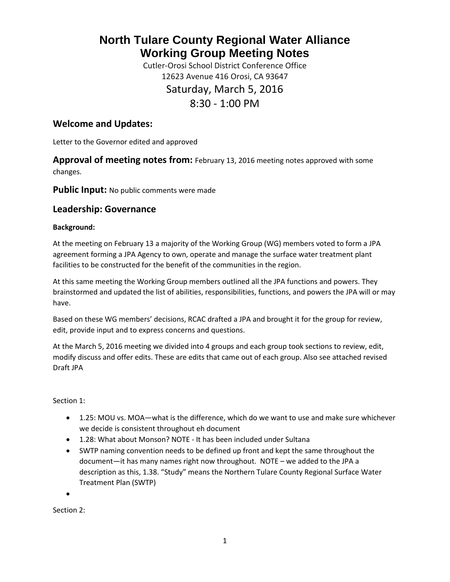# **North Tulare County Regional Water Alliance Working Group Meeting Notes**

Cutler-Orosi School District Conference Office 12623 Avenue 416 Orosi, CA 93647 Saturday, March 5, 2016 8:30 - 1:00 PM

# **Welcome and Updates:**

Letter to the Governor edited and approved

**Approval of meeting notes from:** February 13, 2016 meeting notes approved with some changes.

**Public Input:** No public comments were made

## **Leadership: Governance**

## **Background:**

At the meeting on February 13 a majority of the Working Group (WG) members voted to form a JPA agreement forming a JPA Agency to own, operate and manage the surface water treatment plant facilities to be constructed for the benefit of the communities in the region.

At this same meeting the Working Group members outlined all the JPA functions and powers. They brainstormed and updated the list of abilities, responsibilities, functions, and powers the JPA will or may have.

Based on these WG members' decisions, RCAC drafted a JPA and brought it for the group for review, edit, provide input and to express concerns and questions.

At the March 5, 2016 meeting we divided into 4 groups and each group took sections to review, edit, modify discuss and offer edits. These are edits that came out of each group. Also see attached revised Draft JPA

Section 1:

- 1.25: MOU vs. MOA—what is the difference, which do we want to use and make sure whichever we decide is consistent throughout eh document
- 1.28: What about Monson? NOTE It has been included under Sultana
- SWTP naming convention needs to be defined up front and kept the same throughout the document—it has many names right now throughout. NOTE – we added to the JPA a description as this, 1.38. "Study" means the Northern Tulare County Regional Surface Water Treatment Plan (SWTP)

•

Section 2: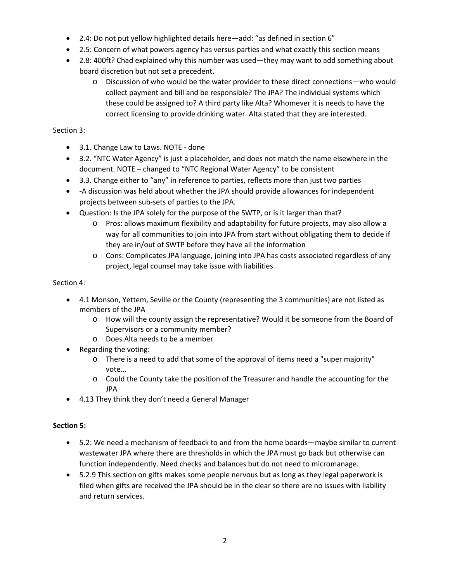- 2.4: Do not put yellow highlighted details here—add: "as defined in section 6"
- 2.5: Concern of what powers agency has versus parties and what exactly this section means
- 2.8: 400ft? Chad explained why this number was used—they may want to add something about board discretion but not set a precedent.
	- o Discussion of who would be the water provider to these direct connections—who would collect payment and bill and be responsible? The JPA? The individual systems which these could be assigned to? A third party like Alta? Whomever it is needs to have the correct licensing to provide drinking water. Alta stated that they are interested.

## Section 3:

- 3.1. Change Law to Laws. NOTE done
- 3.2. "NTC Water Agency" is just a placeholder, and does not match the name elsewhere in the document. NOTE – changed to "NTC Regional Water Agency" to be consistent
- 3.3. Change either to "any" in reference to parties, reflects more than just two parties
- -A discussion was held about whether the JPA should provide allowances for independent projects between sub-sets of parties to the JPA.
- Question: Is the JPA solely for the purpose of the SWTP, or is it larger than that?
	- o Pros: allows maximum flexibility and adaptability for future projects, may also allow a way for all communities to join into JPA from start without obligating them to decide if they are in/out of SWTP before they have all the information
	- o Cons: Complicates JPA language, joining into JPA has costs associated regardless of any project, legal counsel may take issue with liabilities

#### Section 4:

- 4.1 Monson, Yettem, Seville or the County (representing the 3 communities) are not listed as members of the JPA
	- o How will the county assign the representative? Would it be someone from the Board of Supervisors or a community member?
	- o Does Alta needs to be a member
- Regarding the voting:
	- o There is a need to add that some of the approval of items need a "super majority" vote...
	- o Could the County take the position of the Treasurer and handle the accounting for the JPA
- 4.13 They think they don't need a General Manager

## **Section 5:**

- 5.2: We need a mechanism of feedback to and from the home boards—maybe similar to current wastewater JPA where there are thresholds in which the JPA must go back but otherwise can function independently. Need checks and balances but do not need to micromanage.
- 5.2.9 This section on gifts makes some people nervous but as long as they legal paperwork is filed when gifts are received the JPA should be in the clear so there are no issues with liability and return services.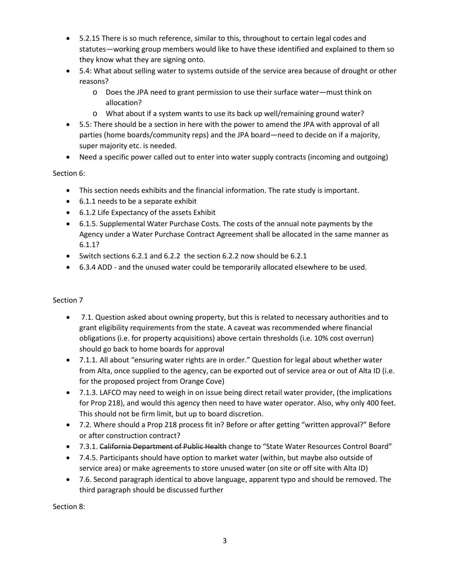- 5.2.15 There is so much reference, similar to this, throughout to certain legal codes and statutes—working group members would like to have these identified and explained to them so they know what they are signing onto.
- 5.4: What about selling water to systems outside of the service area because of drought or other reasons?
	- o Does the JPA need to grant permission to use their surface water—must think on allocation?
	- o What about if a system wants to use its back up well/remaining ground water?
- 5.5: There should be a section in here with the power to amend the JPA with approval of all parties (home boards/community reps) and the JPA board—need to decide on if a majority, super majority etc. is needed.
- Need a specific power called out to enter into water supply contracts (incoming and outgoing)

## Section 6:

- This section needs exhibits and the financial information. The rate study is important.
- 6.1.1 needs to be a separate exhibit
- 6.1.2 Life Expectancy of the assets Exhibit
- 6.1.5. Supplemental Water Purchase Costs. The costs of the annual note payments by the Agency under a Water Purchase Contract Agreement shall be allocated in the same manner as 6.1.1?
- Switch sections 6.2.1 and 6.2.2 the section 6.2.2 now should be 6.2.1
- 6.3.4 ADD and the unused water could be temporarily allocated elsewhere to be used.

## Section 7

- 7.1. Question asked about owning property, but this is related to necessary authorities and to grant eligibility requirements from the state. A caveat was recommended where financial obligations (i.e. for property acquisitions) above certain thresholds (i.e. 10% cost overrun) should go back to home boards for approval
- 7.1.1. All about "ensuring water rights are in order." Question for legal about whether water from Alta, once supplied to the agency, can be exported out of service area or out of Alta ID (i.e. for the proposed project from Orange Cove)
- 7.1.3. LAFCO may need to weigh in on issue being direct retail water provider, (the implications for Prop 218), and would this agency then need to have water operator. Also, why only 400 feet. This should not be firm limit, but up to board discretion.
- 7.2. Where should a Prop 218 process fit in? Before or after getting "written approval?" Before or after construction contract?
- 7.3.1. California Department of Public Health change to "State Water Resources Control Board"
- 7.4.5. Participants should have option to market water (within, but maybe also outside of service area) or make agreements to store unused water (on site or off site with Alta ID)
- 7.6. Second paragraph identical to above language, apparent typo and should be removed. The third paragraph should be discussed further

Section 8: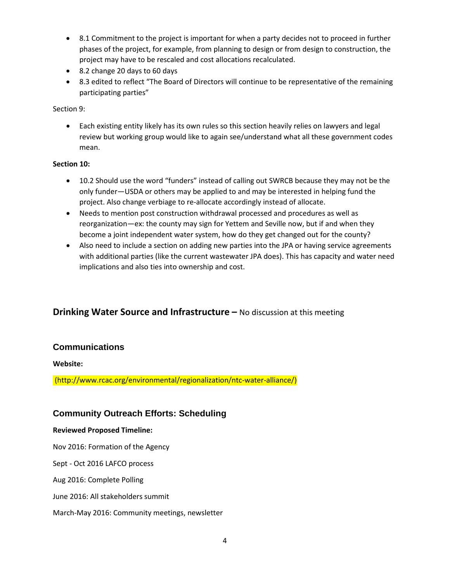- 8.1 Commitment to the project is important for when a party decides not to proceed in further phases of the project, for example, from planning to design or from design to construction, the project may have to be rescaled and cost allocations recalculated.
- 8.2 change 20 days to 60 days
- 8.3 edited to reflect "The Board of Directors will continue to be representative of the remaining participating parties"

#### Section 9:

• Each existing entity likely has its own rules so this section heavily relies on lawyers and legal review but working group would like to again see/understand what all these government codes mean.

#### **Section 10:**

- 10.2 Should use the word "funders" instead of calling out SWRCB because they may not be the only funder—USDA or others may be applied to and may be interested in helping fund the project. Also change verbiage to re-allocate accordingly instead of allocate.
- Needs to mention post construction withdrawal processed and procedures as well as reorganization—ex: the county may sign for Yettem and Seville now, but if and when they become a joint independent water system, how do they get changed out for the county?
- Also need to include a section on adding new parties into the JPA or having service agreements with additional parties (like the current wastewater JPA does). This has capacity and water need implications and also ties into ownership and cost.

# **Drinking Water Source and Infrastructure –** No discussion at this meeting

## **Communications**

#### **Website:**

(http://www.rcac.org/environmental/regionalization/ntc-water-alliance/)

## **Community Outreach Efforts: Scheduling**

#### **Reviewed Proposed Timeline:**

Nov 2016: Formation of the Agency

Sept - Oct 2016 LAFCO process

Aug 2016: Complete Polling

June 2016: All stakeholders summit

March-May 2016: Community meetings, newsletter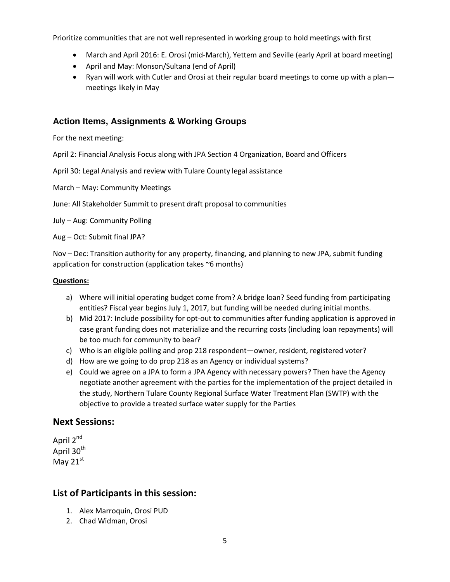Prioritize communities that are not well represented in working group to hold meetings with first

- March and April 2016: E. Orosi (mid-March), Yettem and Seville (early April at board meeting)
- April and May: Monson/Sultana (end of April)
- Ryan will work with Cutler and Orosi at their regular board meetings to come up with a plan meetings likely in May

## **Action Items, Assignments & Working Groups**

For the next meeting:

April 2: Financial Analysis Focus along with JPA Section 4 Organization, Board and Officers

April 30: Legal Analysis and review with Tulare County legal assistance

March – May: Community Meetings

June: All Stakeholder Summit to present draft proposal to communities

July – Aug: Community Polling

Aug – Oct: Submit final JPA?

Nov – Dec: Transition authority for any property, financing, and planning to new JPA, submit funding application for construction (application takes ~6 months)

#### **Questions:**

- a) Where will initial operating budget come from? A bridge loan? Seed funding from participating entities? Fiscal year begins July 1, 2017, but funding will be needed during initial months.
- b) Mid 2017: Include possibility for opt-out to communities after funding application is approved in case grant funding does not materialize and the recurring costs (including loan repayments) will be too much for community to bear?
- c) Who is an eligible polling and prop 218 respondent—owner, resident, registered voter?
- d) How are we going to do prop 218 as an Agency or individual systems?
- e) Could we agree on a JPA to form a JPA Agency with necessary powers? Then have the Agency negotiate another agreement with the parties for the implementation of the project detailed in the study, Northern Tulare County Regional Surface Water Treatment Plan (SWTP) with the objective to provide a treated surface water supply for the Parties

## **Next Sessions:**

April 2<sup>nd</sup> April 30<sup>th</sup> May  $21^{st}$ 

# **List of Participants in this session:**

- 1. Alex Marroquín, Orosi PUD
- 2. Chad Widman, Orosi